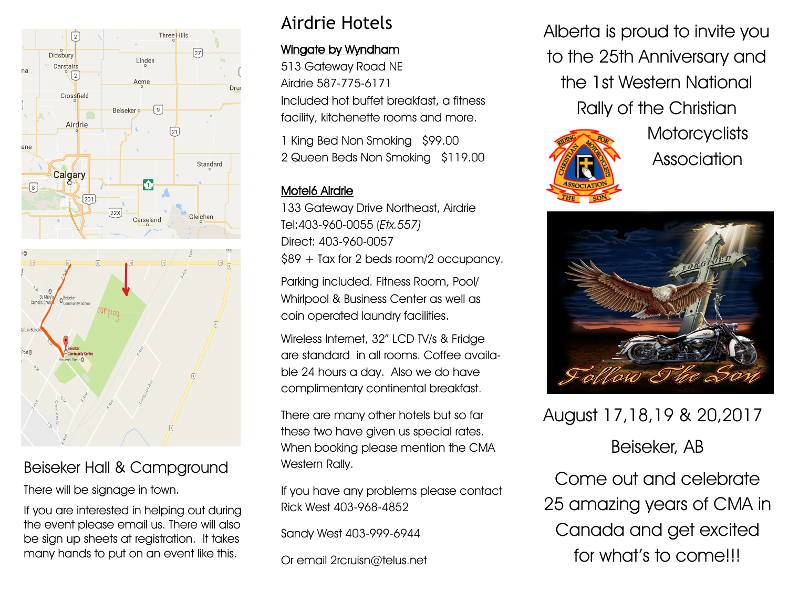

## Beiseker Hall & Campground

There will be signage in town.

If you are interested in helping out during the event please email us. There will also be sign up sheets at registration. It takes many hands to put on an event like this.

## Airdrie Hotels

### Wingate by Wyndham

513 Gateway Road NE Airdrie 587-775-6171 Included hot buffet breakfast, a fitness facility, kitchenette rooms and more.

1 King Bed Non Smoking \$99.00 2 Queen Beds Non Smoking \$119.00

## Motel6 Airdrie

133 Gateway Drive Northeast, Airdrie Tel:403-960-0055 (Etx.557) Direct: 403-960-0057 \$89 + Tax for 2 beds room/2 occupancy.

Parking included. Fitness Room, Pool/ Whirlpool & Business Center as well as coin operated laundry facilities.

Wireless Internet, 32" LCD TV/s & Fridge are standard in all rooms. Coffee available 24 hours a day. Also we do have complimentary continental breakfast.

There are many other hotels but so far these two have given us special rates. When booking please mention the CMA Western Rally.

If you have any problems please contact Rick West 403-968-4852

Sandy West 403-999-6944

Or email 2rcruisn@telus.net

Alberta is proud to invite you to the 25th Anniversary and the 1st Western National Rally of the Christian



**Motorcyclists** Association



# August 17,18,19 & 20,2017

Beiseker, AB

Come out and celebrate 25 amazing years of CMA in Canada and get excited for what's to come!!!